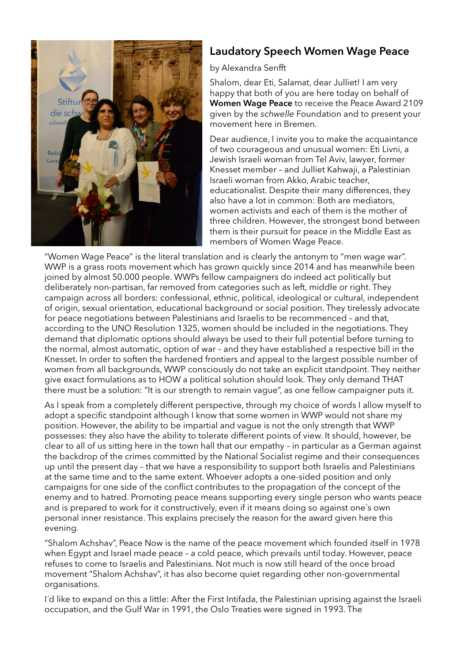

## Laudatory Speech Women Wage Peace

## by Alexandra Senfft

Shalom, dear Eti, Salamat, dear Julliet! I am very happy that both of you are here today on behalf of Women Wage Peace to receive the Peace Award 2109 given by the schwelle Foundation and to present your movement here in Bremen.

Dear audience, I invite you to make the acquaintance of two courageous and unusual women: Eti Livni, a Jewish Israeli woman from Tel Aviv, lawyer, former Knesset member – and Julliet Kahwaji, a Palestinian Israeli woman from Akko, Arabic teacher, educationalist. Despite their many differences, they also have a lot in common: Both are mediators, women activists and each of them is the mother of three children. However, the strongest bond between them is their pursuit for peace in the Middle East as members of Women Wage Peace.

"Women Wage Peace" is the literal translation and is clearly the antonym to "men wage war". WWP is a grass roots movement which has grown quickly since 2014 and has meanwhile been joined by almost 50.000 people. WWPs fellow campaigners do indeed act politically but deliberately non-partisan, far removed from categories such as left, middle or right. They campaign across all borders: confessional, ethnic, political, ideological or cultural, independent of origin, sexual orientation, educational background or social position. They tirelessly advocate for peace negotiations between Palestinians and Israelis to be recommenced – and that, according to the UNO Resolution 1325, women should be included in the negotiations. They demand that diplomatic options should always be used to their full potential before turning to the normal, almost automatic, option of war – and they have established a respective bill in the Knesset. In order to soften the hardened frontiers and appeal to the largest possible number of women from all backgrounds, WWP consciously do not take an explicit standpoint. They neither give exact formulations as to HOW a political solution should look. They only demand THAT there must be a solution: "It is our strength to remain vague", as one fellow campaigner puts it.

As I speak from a completely different perspective, through my choice of words I allow myself to adopt a specific standpoint although I know that some women in WWP would not share my position. However, the ability to be impartial and vague is not the only strength that WWP possesses: they also have the ability to tolerate different points of view. It should, however, be clear to all of us sitting here in the town hall that our empathy – in particular as a German against the backdrop of the crimes committed by the National Socialist regime and their consequences up until the present day – that we have a responsibility to support both Israelis and Palestinians at the same time and to the same extent. Whoever adopts a one-sided position and only campaigns for one side of the conflict contributes to the propagation of the concept of the enemy and to hatred. Promoting peace means supporting every single person who wants peace and is prepared to work for it constructively, even if it means doing so against one´s own personal inner resistance. This explains precisely the reason for the award given here this evening.

"Shalom Achshav", Peace Now is the name of the peace movement which founded itself in 1978 when Egypt and Israel made peace – a cold peace, which prevails until today. However, peace refuses to come to Israelis and Palestinians. Not much is now still heard of the once broad movement "Shalom Achshav", it has also become quiet regarding other non-governmental organisations.

I´d like to expand on this a little: After the First Intifada, the Palestinian uprising against the Israeli occupation, and the Gulf War in 1991, the Oslo Treaties were signed in 1993. The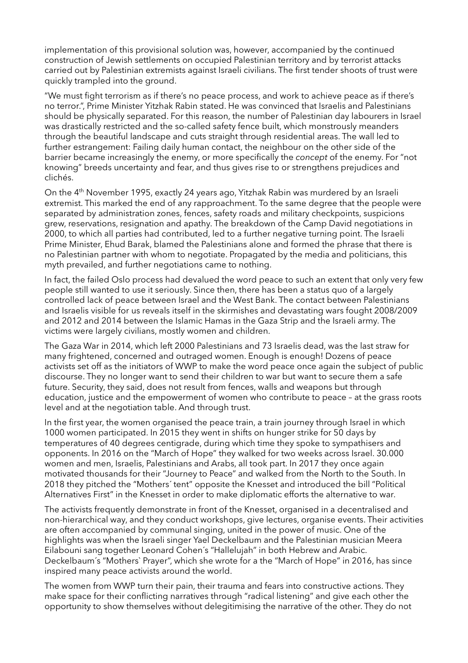implementation of this provisional solution was, however, accompanied by the continued construction of Jewish settlements on occupied Palestinian territory and by terrorist attacks carried out by Palestinian extremists against Israeli civilians. The first tender shoots of trust were quickly trampled into the ground.

"We must fight terrorism as if there's no peace process, and work to achieve peace as if there's no terror.", Prime Minister Yitzhak Rabin stated. He was convinced that Israelis and Palestinians should be physically separated. For this reason, the number of Palestinian day labourers in Israel was drastically restricted and the so-called safety fence built, which monstrously meanders through the beautiful landscape and cuts straight through residential areas. The wall led to further estrangement: Failing daily human contact, the neighbour on the other side of the barrier became increasingly the enemy, or more specifically the concept of the enemy. For "not knowing" breeds uncertainty and fear, and thus gives rise to or strengthens prejudices and clichés.

On the 4<sup>th</sup> November 1995, exactly 24 years ago, Yitzhak Rabin was murdered by an Israeli extremist. This marked the end of any rapproachment. To the same degree that the people were separated by administration zones, fences, safety roads and military checkpoints, suspicions grew, reservations, resignation and apathy. The breakdown of the Camp David negotiations in 2000, to which all parties had contributed, led to a further negative turning point. The Israeli Prime Minister, Ehud Barak, blamed the Palestinians alone and formed the phrase that there is no Palestinian partner with whom to negotiate. Propagated by the media and politicians, this myth prevailed, and further negotiations came to nothing.

In fact, the failed Oslo process had devalued the word peace to such an extent that only very few people still wanted to use it seriously. Since then, there has been a status quo of a largely controlled lack of peace between Israel and the West Bank. The contact between Palestinians and Israelis visible for us reveals itself in the skirmishes and devastating wars fought 2008/2009 and 2012 and 2014 between the Islamic Hamas in the Gaza Strip and the Israeli army. The victims were largely civilians, mostly women and children.

The Gaza War in 2014, which left 2000 Palestinians and 73 Israelis dead, was the last straw for many frightened, concerned and outraged women. Enough is enough! Dozens of peace activists set off as the initiators of WWP to make the word peace once again the subject of public discourse. They no longer want to send their children to war but want to secure them a safe future. Security, they said, does not result from fences, walls and weapons but through education, justice and the empowerment of women who contribute to peace – at the grass roots level and at the negotiation table. And through trust.

In the first year, the women organised the peace train, a train journey through Israel in which 1000 women participated. In 2015 they went in shifts on hunger strike for 50 days by temperatures of 40 degrees centigrade, during which time they spoke to sympathisers and opponents. In 2016 on the "March of Hope" they walked for two weeks across Israel. 30.000 women and men, Israelis, Palestinians and Arabs, all took part. In 2017 they once again motivated thousands for their "Journey to Peace" and walked from the North to the South. In 2018 they pitched the "Mothers´ tent" opposite the Knesset and introduced the bill "Political Alternatives First" in the Knesset in order to make diplomatic efforts the alternative to war.

The activists frequently demonstrate in front of the Knesset, organised in a decentralised and non-hierarchical way, and they conduct workshops, give lectures, organise events. Their activities are often accompanied by communal singing, united in the power of music. One of the highlights was when the Israeli singer Yael Deckelbaum and the Palestinian musician Meera Eilabouni sang together Leonard Cohen´s "Hallelujah" in both Hebrew and Arabic. Deckelbaum´s "Mothers` Prayer", which she wrote for a the "March of Hope" in 2016, has since inspired many peace activists around the world.

The women from WWP turn their pain, their trauma and fears into constructive actions. They make space for their conflicting narratives through "radical listening" and give each other the opportunity to show themselves without delegitimising the narrative of the other. They do not